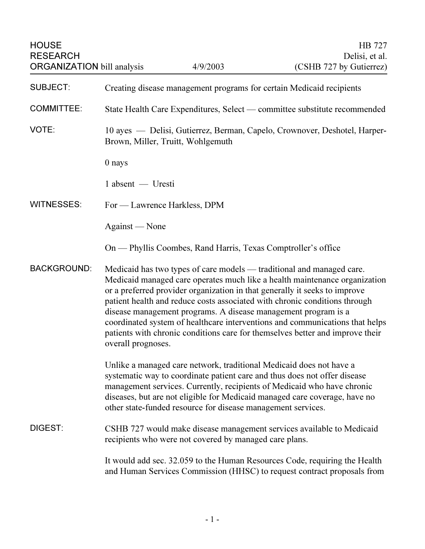| <b>HOUSE</b><br><b>RESEARCH</b><br><b>ORGANIZATION bill analysis</b> |                                                                                                                                                                                                                                                                                                                                                                                                                                                                                                                                                                          | 4/9/2003                                                      | HB 727<br>Delisi, et al.<br>(CSHB 727 by Gutierrez) |
|----------------------------------------------------------------------|--------------------------------------------------------------------------------------------------------------------------------------------------------------------------------------------------------------------------------------------------------------------------------------------------------------------------------------------------------------------------------------------------------------------------------------------------------------------------------------------------------------------------------------------------------------------------|---------------------------------------------------------------|-----------------------------------------------------|
| <b>SUBJECT:</b>                                                      | Creating disease management programs for certain Medicaid recipients                                                                                                                                                                                                                                                                                                                                                                                                                                                                                                     |                                                               |                                                     |
| <b>COMMITTEE:</b>                                                    | State Health Care Expenditures, Select — committee substitute recommended                                                                                                                                                                                                                                                                                                                                                                                                                                                                                                |                                                               |                                                     |
| VOTE:                                                                | 10 ayes — Delisi, Gutierrez, Berman, Capelo, Crownover, Deshotel, Harper-<br>Brown, Miller, Truitt, Wohlgemuth                                                                                                                                                                                                                                                                                                                                                                                                                                                           |                                                               |                                                     |
|                                                                      | 0 nays                                                                                                                                                                                                                                                                                                                                                                                                                                                                                                                                                                   |                                                               |                                                     |
|                                                                      | $1$ absent $-$ Uresti                                                                                                                                                                                                                                                                                                                                                                                                                                                                                                                                                    |                                                               |                                                     |
| <b>WITNESSES:</b>                                                    | For — Lawrence Harkless, DPM                                                                                                                                                                                                                                                                                                                                                                                                                                                                                                                                             |                                                               |                                                     |
|                                                                      | Against — None                                                                                                                                                                                                                                                                                                                                                                                                                                                                                                                                                           |                                                               |                                                     |
|                                                                      |                                                                                                                                                                                                                                                                                                                                                                                                                                                                                                                                                                          | On — Phyllis Coombes, Rand Harris, Texas Comptroller's office |                                                     |
| <b>BACKGROUND:</b>                                                   | Medicaid has two types of care models — traditional and managed care.<br>Medicaid managed care operates much like a health maintenance organization<br>or a preferred provider organization in that generally it seeks to improve<br>patient health and reduce costs associated with chronic conditions through<br>disease management programs. A disease management program is a<br>coordinated system of healthcare interventions and communications that helps<br>patients with chronic conditions care for themselves better and improve their<br>overall prognoses. |                                                               |                                                     |
|                                                                      | Unlike a managed care network, traditional Medicaid does not have a<br>systematic way to coordinate patient care and thus does not offer disease<br>management services. Currently, recipients of Medicaid who have chronic<br>diseases, but are not eligible for Medicaid managed care coverage, have no<br>other state-funded resource for disease management services.                                                                                                                                                                                                |                                                               |                                                     |
| <b>DIGEST:</b>                                                       | CSHB 727 would make disease management services available to Medicaid<br>recipients who were not covered by managed care plans.                                                                                                                                                                                                                                                                                                                                                                                                                                          |                                                               |                                                     |
|                                                                      | It would add sec. 32.059 to the Human Resources Code, requiring the Health<br>and Human Services Commission (HHSC) to request contract proposals from                                                                                                                                                                                                                                                                                                                                                                                                                    |                                                               |                                                     |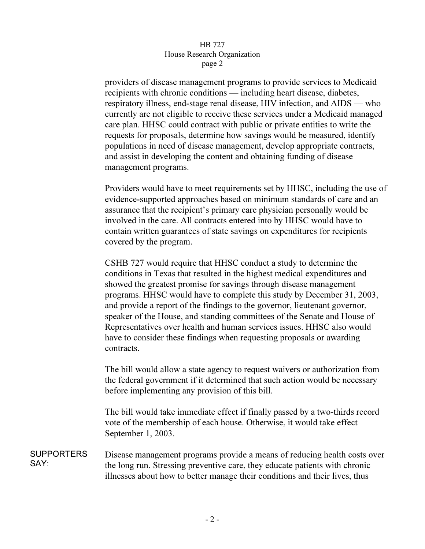## HB 727 House Research Organization page 2  $r^{2}$

providers of disease management programs to provide services to Medicaid recipients with chronic conditions — including heart disease, diabetes, respiratory illness, end-stage renal disease, HIV infection, and AIDS — who currently are not eligible to receive these services under a Medicaid managed care plan. HHSC could contract with public or private entities to write the requests for proposals, determine how savings would be measured, identify populations in need of disease management, develop appropriate contracts, and assist in developing the content and obtaining funding of disease management programs.

Providers would have to meet requirements set by HHSC, including the use of evidence-supported approaches based on minimum standards of care and an assurance that the recipient's primary care physician personally would be involved in the care. All contracts entered into by HHSC would have to contain written guarantees of state savings on expenditures for recipients covered by the program.

CSHB 727 would require that HHSC conduct a study to determine the conditions in Texas that resulted in the highest medical expenditures and showed the greatest promise for savings through disease management programs. HHSC would have to complete this study by December 31, 2003, and provide a report of the findings to the governor, lieutenant governor, speaker of the House, and standing committees of the Senate and House of Representatives over health and human services issues. HHSC also would have to consider these findings when requesting proposals or awarding contracts.

The bill would allow a state agency to request waivers or authorization from the federal government if it determined that such action would be necessary before implementing any provision of this bill.

The bill would take immediate effect if finally passed by a two-thirds record vote of the membership of each house. Otherwise, it would take effect September 1, 2003.

SUPPORTERS SAY: Disease management programs provide a means of reducing health costs over the long run. Stressing preventive care, they educate patients with chronic illnesses about how to better manage their conditions and their lives, thus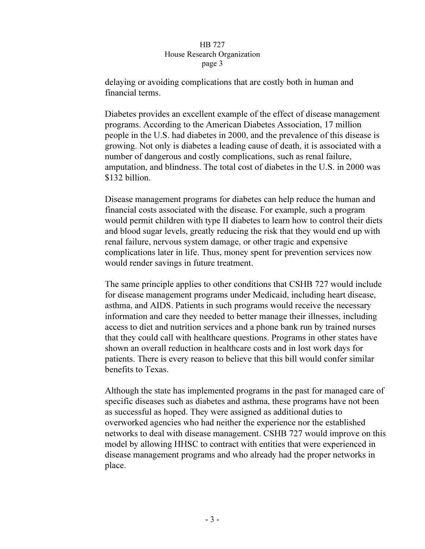## HB 727 House Research Organization page 3  $\mathbf{r}$   $\mathbf{r}$   $\mathbf{s}$   $\mathbf{r}$   $\mathbf{s}$

delaying or avoiding complications that are costly both in human and financial terms.

Diabetes provides an excellent example of the effect of disease management programs. According to the American Diabetes Association, 17 million people in the U.S. had diabetes in 2000, and the prevalence of this disease is growing. Not only is diabetes a leading cause of death, it is associated with a number of dangerous and costly complications, such as renal failure, amputation, and blindness. The total cost of diabetes in the U.S. in 2000 was \$132 billion.

Disease management programs for diabetes can help reduce the human and financial costs associated with the disease. For example, such a program would permit children with type II diabetes to learn how to control their diets and blood sugar levels, greatly reducing the risk that they would end up with renal failure, nervous system damage, or other tragic and expensive complications later in life. Thus, money spent for prevention services now would render savings in future treatment.

The same principle applies to other conditions that CSHB 727 would include for disease management programs under Medicaid, including heart disease, asthma, and AIDS. Patients in such programs would receive the necessary information and care they needed to better manage their illnesses, including access to diet and nutrition services and a phone bank run by trained nurses that they could call with healthcare questions. Programs in other states have shown an overall reduction in healthcare costs and in lost work days for patients. There is every reason to believe that this bill would confer similar benefits to Texas.

Although the state has implemented programs in the past for managed care of specific diseases such as diabetes and asthma, these programs have not been as successful as hoped. They were assigned as additional duties to overworked agencies who had neither the experience nor the established networks to deal with disease management. CSHB 727 would improve on this model by allowing HHSC to contract with entities that were experienced in disease management programs and who already had the proper networks in place.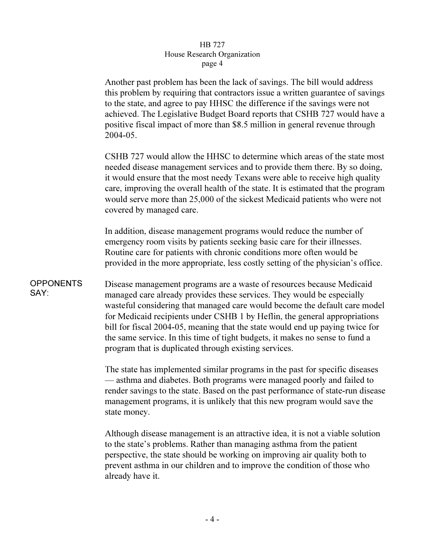## HB 727 House Research Organization page 4  $\mathbf{r}^{\mu}$ ge  $\mathbf{r}$

Another past problem has been the lack of savings. The bill would address this problem by requiring that contractors issue a written guarantee of savings to the state, and agree to pay HHSC the difference if the savings were not achieved. The Legislative Budget Board reports that CSHB 727 would have a positive fiscal impact of more than \$8.5 million in general revenue through 2004-05.

CSHB 727 would allow the HHSC to determine which areas of the state most needed disease management services and to provide them there. By so doing, it would ensure that the most needy Texans were able to receive high quality care, improving the overall health of the state. It is estimated that the program would serve more than 25,000 of the sickest Medicaid patients who were not covered by managed care.

In addition, disease management programs would reduce the number of emergency room visits by patients seeking basic care for their illnesses. Routine care for patients with chronic conditions more often would be provided in the more appropriate, less costly setting of the physician's office.

**OPPONENTS** SAY: Disease management programs are a waste of resources because Medicaid managed care already provides these services. They would be especially wasteful considering that managed care would become the default care model for Medicaid recipients under CSHB 1 by Heflin, the general appropriations bill for fiscal 2004-05, meaning that the state would end up paying twice for the same service. In this time of tight budgets, it makes no sense to fund a program that is duplicated through existing services.

> The state has implemented similar programs in the past for specific diseases — asthma and diabetes. Both programs were managed poorly and failed to render savings to the state. Based on the past performance of state-run disease management programs, it is unlikely that this new program would save the state money.

Although disease management is an attractive idea, it is not a viable solution to the state's problems. Rather than managing asthma from the patient perspective, the state should be working on improving air quality both to prevent asthma in our children and to improve the condition of those who already have it.